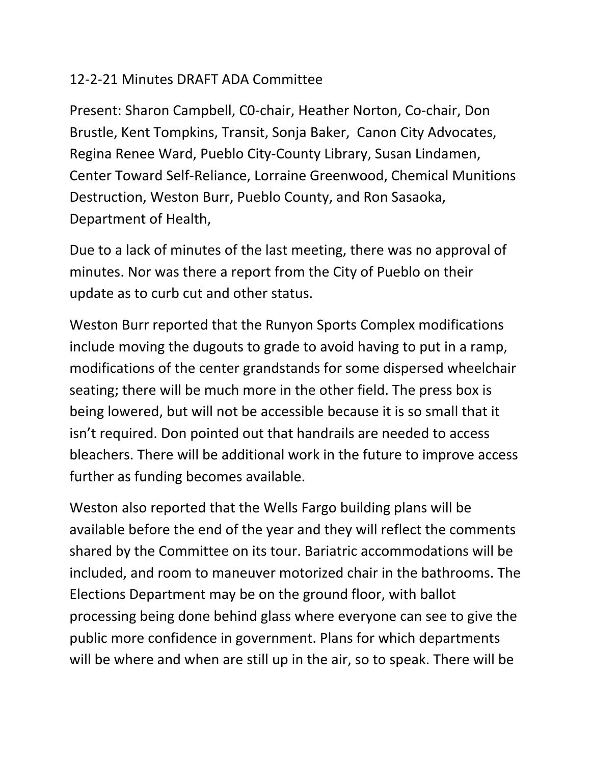## 12-2-21 Minutes DRAFT ADA Committee

Present: Sharon Campbell, C0-chair, Heather Norton, Co-chair, Don Brustle, Kent Tompkins, Transit, Sonja Baker, Canon City Advocates, Regina Renee Ward, Pueblo City-County Library, Susan Lindamen, Center Toward Self-Reliance, Lorraine Greenwood, Chemical Munitions Destruction, Weston Burr, Pueblo County, and Ron Sasaoka, Department of Health,

Due to a lack of minutes of the last meeting, there was no approval of minutes. Nor was there a report from the City of Pueblo on their update as to curb cut and other status.

Weston Burr reported that the Runyon Sports Complex modifications include moving the dugouts to grade to avoid having to put in a ramp, modifications of the center grandstands for some dispersed wheelchair seating; there will be much more in the other field. The press box is being lowered, but will not be accessible because it is so small that it isn't required. Don pointed out that handrails are needed to access bleachers. There will be additional work in the future to improve access further as funding becomes available.

Weston also reported that the Wells Fargo building plans will be available before the end of the year and they will reflect the comments shared by the Committee on its tour. Bariatric accommodations will be included, and room to maneuver motorized chair in the bathrooms. The Elections Department may be on the ground floor, with ballot processing being done behind glass where everyone can see to give the public more confidence in government. Plans for which departments will be where and when are still up in the air, so to speak. There will be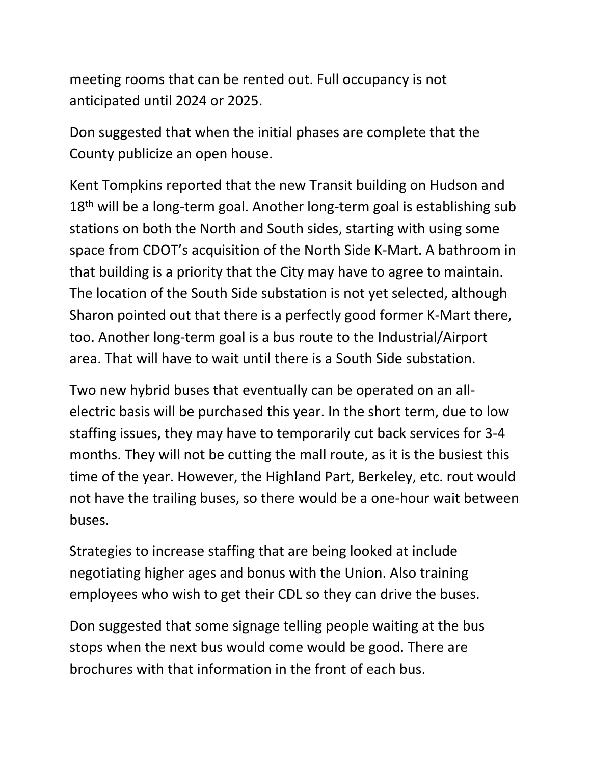meeting rooms that can be rented out. Full occupancy is not anticipated until 2024 or 2025.

Don suggested that when the initial phases are complete that the County publicize an open house.

Kent Tompkins reported that the new Transit building on Hudson and  $18<sup>th</sup>$  will be a long-term goal. Another long-term goal is establishing sub stations on both the North and South sides, starting with using some space from CDOT's acquisition of the North Side K-Mart. A bathroom in that building is a priority that the City may have to agree to maintain. The location of the South Side substation is not yet selected, although Sharon pointed out that there is a perfectly good former K-Mart there, too. Another long-term goal is a bus route to the Industrial/Airport area. That will have to wait until there is a South Side substation.

Two new hybrid buses that eventually can be operated on an allelectric basis will be purchased this year. In the short term, due to low staffing issues, they may have to temporarily cut back services for 3-4 months. They will not be cutting the mall route, as it is the busiest this time of the year. However, the Highland Part, Berkeley, etc. rout would not have the trailing buses, so there would be a one-hour wait between buses.

Strategies to increase staffing that are being looked at include negotiating higher ages and bonus with the Union. Also training employees who wish to get their CDL so they can drive the buses.

Don suggested that some signage telling people waiting at the bus stops when the next bus would come would be good. There are brochures with that information in the front of each bus.